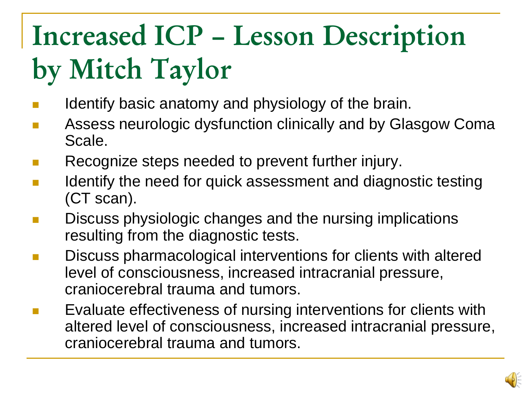#### **Increased ICP – Lesson Description by Mitch Taylor**

- Identify basic anatomy and physiology of the brain.
- Assess neurologic dysfunction clinically and by Glasgow Coma Scale.
- Recognize steps needed to prevent further injury.
- Identify the need for quick assessment and diagnostic testing (CT scan).
- Discuss physiologic changes and the nursing implications resulting from the diagnostic tests.
- Discuss pharmacological interventions for clients with altered level of consciousness, increased intracranial pressure, craniocerebral trauma and tumors.
- Evaluate effectiveness of nursing interventions for clients with altered level of consciousness, increased intracranial pressure, craniocerebral trauma and tumors.

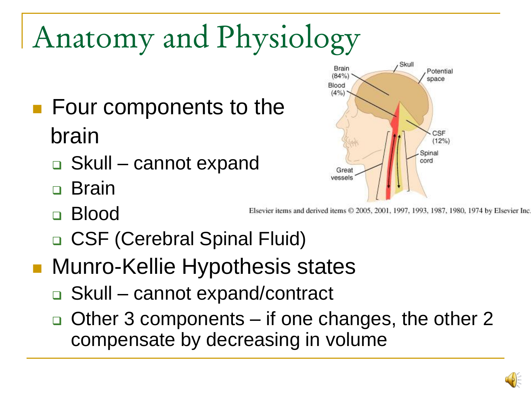# Anatomy and Physiology

- **Four components to the** brain
	- □ Skull cannot expand
	- Brain
	- Blood
	- □ CSF (Cerebral Spinal Fluid)
- **Nunro-Kellie Hypothesis states** 
	- Skull cannot expand/contract
	- $\Box$  Other 3 components if one changes, the other 2 compensate by decreasing in volume



Elsevier items and derived items © 2005, 2001, 1997, 1993, 1987, 1980, 1974 by Elsevier Inc.

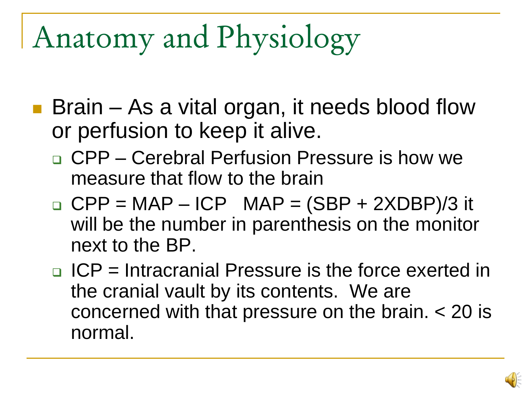## Anatomy and Physiology

- Brain As a vital organ, it needs blood flow or perfusion to keep it alive.
	- □ CPP Cerebral Perfusion Pressure is how we measure that flow to the brain
	- $\Box$  CPP = MAP ICP MAP = (SBP + 2XDBP)/3 it will be the number in parenthesis on the monitor next to the BP.
	- $\Box$  ICP = Intracranial Pressure is the force exerted in the cranial vault by its contents. We are concerned with that pressure on the brain. < 20 is normal.

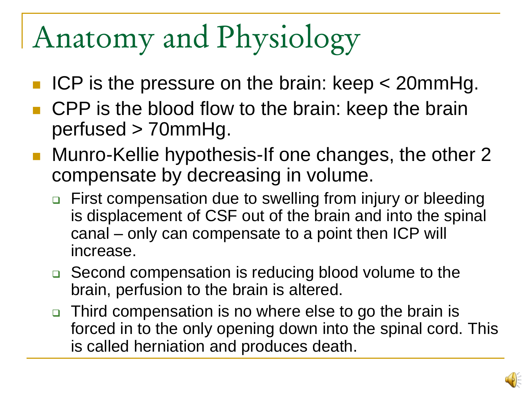## Anatomy and Physiology

- ICP is the pressure on the brain: keep < 20mmHg.
- CPP is the blood flow to the brain: keep the brain perfused > 70mmHg.
- Munro-Kellie hypothesis-If one changes, the other 2 compensate by decreasing in volume.
	- □ First compensation due to swelling from injury or bleeding is displacement of CSF out of the brain and into the spinal canal – only can compensate to a point then ICP will increase.
	- □ Second compensation is reducing blood volume to the brain, perfusion to the brain is altered.
	- □ Third compensation is no where else to go the brain is forced in to the only opening down into the spinal cord. This is called herniation and produces death.

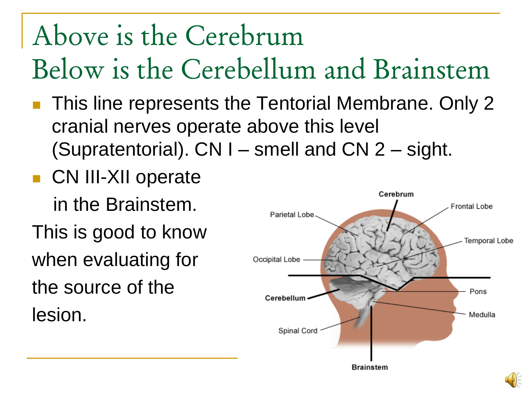#### Above is the Cerebrum Below is the Cerebellum and Brainstem

- This line represents the Tentorial Membrane. Only 2 cranial nerves operate above this level (Supratentorial).  $CN I$  – smell and  $CN 2 - sight$ .
- **CN III-XII operate** in the Brainstem. This is good to know when evaluating for the source of the lesion.

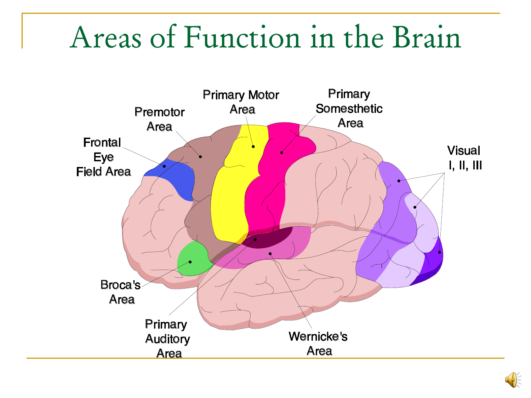#### Areas of Function in the Brain



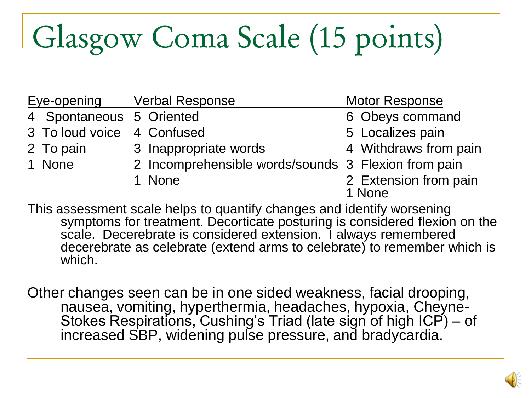# Glasgow Coma Scale (15 points)

|                            | <b>Eye-opening Verbal Response</b>                  | <b>Motor Response</b> |
|----------------------------|-----------------------------------------------------|-----------------------|
| 4 Spontaneous 5 Oriented   |                                                     | 6 Obeys command       |
| 3 To loud voice 4 Confused |                                                     | 5 Localizes pain      |
| 2 To pain                  | 3 Inappropriate words                               | 4 Withdraws from pain |
| 1 None                     | 2 Incomprehensible words/sounds 3 Flexion from pain |                       |
|                            | 1 None                                              | 2 Extension from pain |
|                            |                                                     | 1 None                |

This assessment scale helps to quantify changes and identify worsening symptoms for treatment. Decorticate posturing is considered flexion on the scale. Decerebrate is considered extension. I always remembered decerebrate as celebrate (extend arms to celebrate) to remember which is which.

Other changes seen can be in one sided weakness, facial drooping, nausea, vomiting, hyperthermia, headaches, hypoxia, Cheyne-Stokes Respirations, Cushing's Triad (late sign of high ICP) – of increased SBP, widening pulse pressure, and bradycardia.

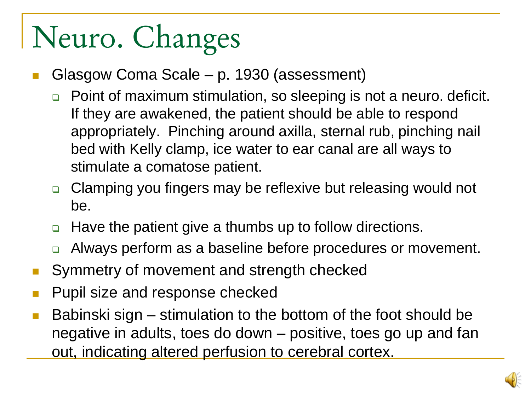# Neuro. Changes

- Glasgow Coma Scale p. 1930 (assessment)
	- □ Point of maximum stimulation, so sleeping is not a neuro. deficit. If they are awakened, the patient should be able to respond appropriately. Pinching around axilla, sternal rub, pinching nail bed with Kelly clamp, ice water to ear canal are all ways to stimulate a comatose patient.
	- Clamping you fingers may be reflexive but releasing would not be.
	- □ Have the patient give a thumbs up to follow directions.
	- □ Always perform as a baseline before procedures or movement.
- Symmetry of movement and strength checked
- Pupil size and response checked
- Babinski sign stimulation to the bottom of the foot should be negative in adults, toes do down – positive, toes go up and fan out, indicating altered perfusion to cerebral cortex.

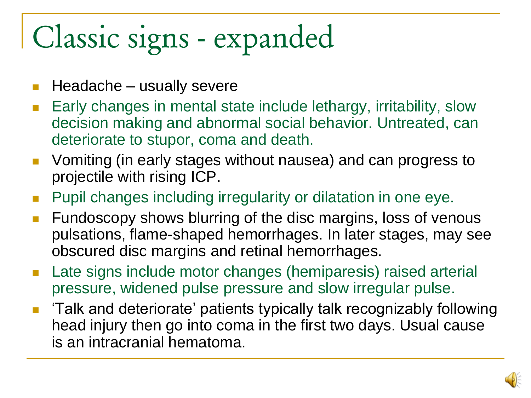# Classic signs - expanded

- $\blacksquare$  Headache usually severe
- Early changes in mental state include lethargy, irritability, slow decision making and abnormal social behavior. Untreated, can deteriorate to stupor, coma and death.
- **U** Vomiting (in early stages without nausea) and can progress to projectile with rising ICP.
- Pupil changes including irregularity or dilatation in one eye.
- Fundoscopy shows blurring of the disc margins, loss of venous pulsations, flame-shaped hemorrhages. In later stages, may see obscured disc margins and retinal hemorrhages.
- Late signs include motor changes (hemiparesis) raised arterial pressure, widened pulse pressure and slow irregular pulse.
- 'Talk and deteriorate' patients typically talk recognizably following head injury then go into coma in the first two days. Usual cause is an intracranial hematoma.

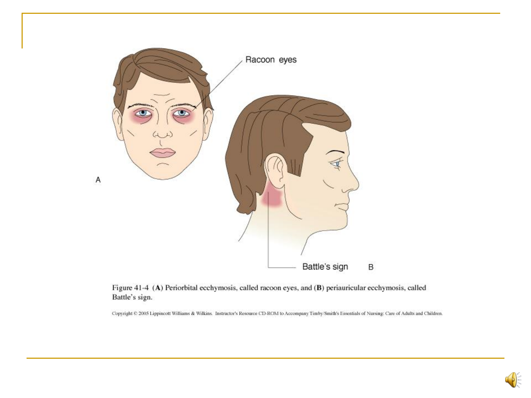

Figure 41-4 (A) Periorbital ecchymosis, called racoon eyes, and (B) periauricular ecchymosis, called Battle's sign.

Copyright © 2005 Lippincott Williams & Wilkins. Instructor's Resource CD-ROM to Accompany Timby/Smith's Essentials of Nursing: Care of Adults and Children.

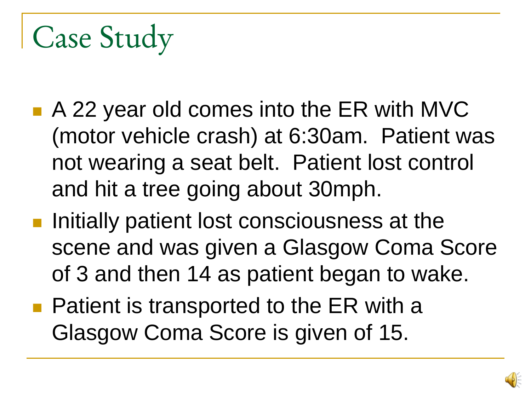- A 22 year old comes into the ER with MVC (motor vehicle crash) at 6:30am. Patient was not wearing a seat belt. Patient lost control and hit a tree going about 30mph.
- $\blacksquare$  Initially patient lost consciousness at the scene and was given a Glasgow Coma Score of 3 and then 14 as patient began to wake.
- **Patient is transported to the ER with a** Glasgow Coma Score is given of 15.

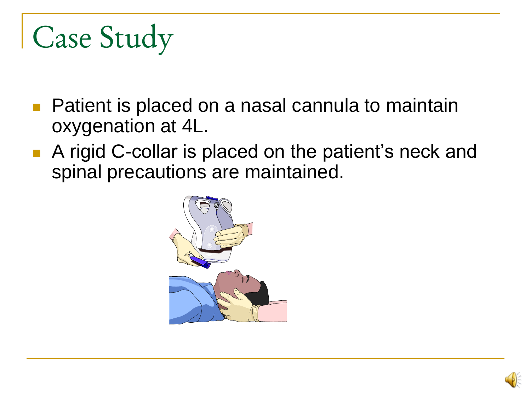- **Patient is placed on a nasal cannula to maintain** oxygenation at 4L.
- A rigid C-collar is placed on the patient's neck and spinal precautions are maintained.



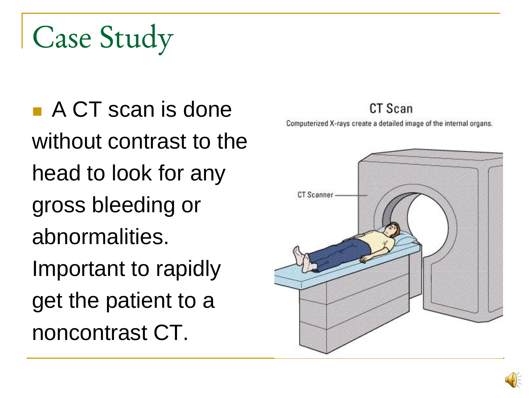■ A CT scan is done without contrast to the head to look for any gross bleeding or abnormalities. Important to rapidly get the patient to a noncontrast CT.

#### CT Scan

Computerized X-rays create a detailed image of the internal organs.

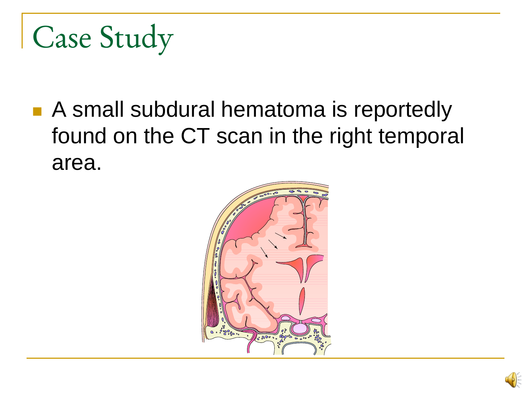■ A small subdural hematoma is reportedly found on the CT scan in the right temporal area.



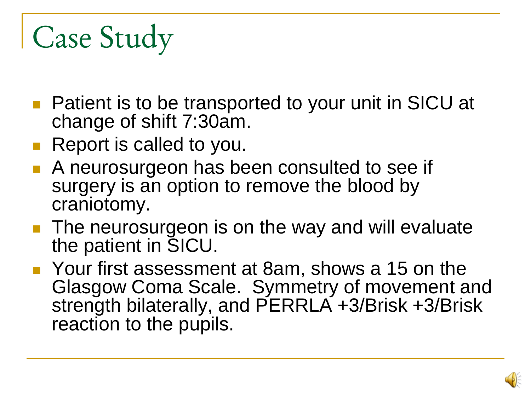- **Patient is to be transported to your unit in SICU at** change of shift 7:30am.
- **Report is called to you.**
- A neurosurgeon has been consulted to see if surgery is an option to remove the blood by craniotomy.
- **The neurosurgeon is on the way and will evaluate** the patient in SICU.
- Your first assessment at 8am, shows a 15 on the Glasgow Coma Scale. Symmetry of movement and strength bilaterally, and PERRLA +3/Brisk +3/Brisk reaction to the pupils.

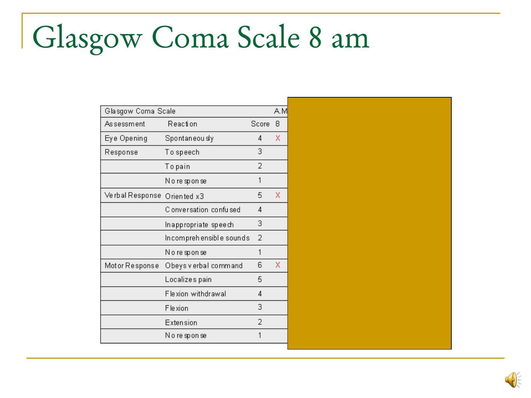## Glasgow Coma Scale 8 am

| Glasgow Coma Scale |                          |       |   |  |
|--------------------|--------------------------|-------|---|--|
| Assessment         | Reaction                 | Score | 8 |  |
| Eye Opening        | Spontaneou sly           | 4     | Χ |  |
| Response           | To speech                | З     |   |  |
|                    | To pain                  | 2     |   |  |
|                    | Noresponse               | 1     |   |  |
| Ve rbal Response   | Oriented x3              | 5     | x |  |
|                    | C onversation, confulsed | 4     |   |  |
|                    | Inappropriate speech     | 3     |   |  |
|                    | Incomprehensible sounds  | 2     |   |  |
|                    | Noresponse               | 1     |   |  |
| Motor Response     | Obeys v erbal command    | 6     | x |  |
|                    | Localizes pain           | 5     |   |  |
|                    | Flexion withdrawal       | 4     |   |  |
|                    | Fle xion                 | 3     |   |  |
|                    | Extension                | 2     |   |  |
|                    | Noresponse               | 1     |   |  |
|                    |                          |       |   |  |

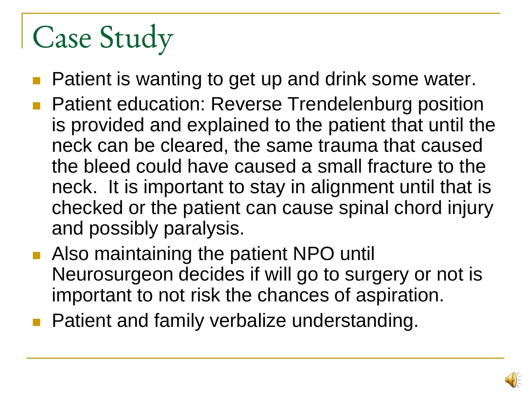- Patient is wanting to get up and drink some water.
- Patient education: Reverse Trendelenburg position is provided and explained to the patient that until the neck can be cleared, the same trauma that caused the bleed could have caused a small fracture to the neck. It is important to stay in alignment until that is checked or the patient can cause spinal chord injury and possibly paralysis.
- **Also maintaining the patient NPO untill** Neurosurgeon decides if will go to surgery or not is important to not risk the chances of aspiration.
- **Patient and family verbalize understanding.**

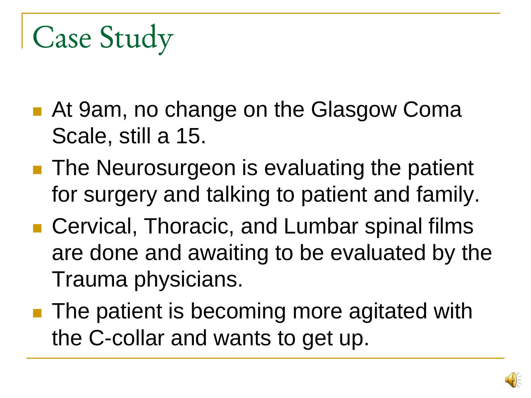- At 9am, no change on the Glasgow Coma Scale, still a 15.
- The Neurosurgeon is evaluating the patient for surgery and talking to patient and family.
- Cervical, Thoracic, and Lumbar spinal films are done and awaiting to be evaluated by the Trauma physicians.
- The patient is becoming more agitated with the C-collar and wants to get up.

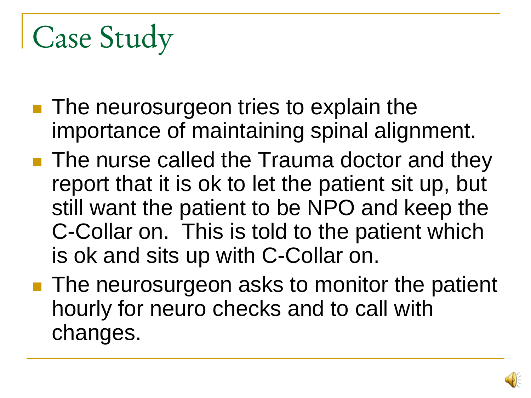- **The neurosurgeon tries to explain the** importance of maintaining spinal alignment.
- **The nurse called the Trauma doctor and they** report that it is ok to let the patient sit up, but still want the patient to be NPO and keep the C-Collar on. This is told to the patient which is ok and sits up with C-Collar on.
- **The neurosurgeon asks to monitor the patient** hourly for neuro checks and to call with changes.

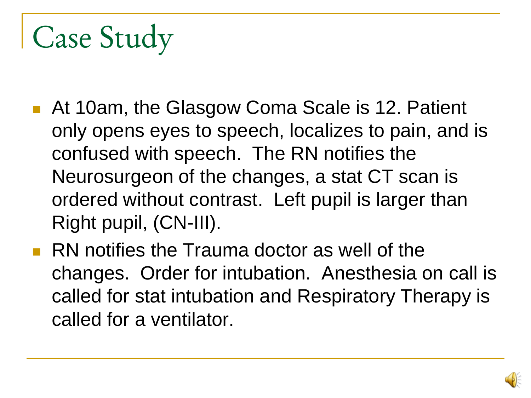- At 10am, the Glasgow Coma Scale is 12. Patient only opens eyes to speech, localizes to pain, and is confused with speech. The RN notifies the Neurosurgeon of the changes, a stat CT scan is ordered without contrast. Left pupil is larger than Right pupil, (CN-III).
- **RN** notifies the Trauma doctor as well of the changes. Order for intubation. Anesthesia on call is called for stat intubation and Respiratory Therapy is called for a ventilator.

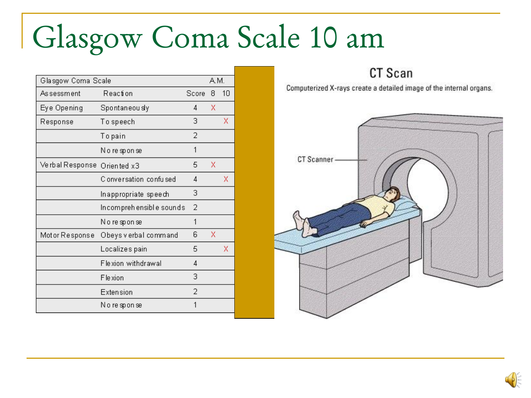## Glasgow Coma Scale 10 am

| Glasgow Coma Scale |                          |       | A.M. |    |
|--------------------|--------------------------|-------|------|----|
| Assessment         | Reaction                 | Score | 8    | 10 |
| Eye Opening        | Spontaneou sly           | 4     | x    |    |
| Response           | To speech                | 3     |      | x  |
|                    | To pain                  | 2     |      |    |
|                    | Noresponse               | 1     |      |    |
| Ve rbal Response   | Oriented x3              | 5     | X    |    |
|                    | C onversation, confulsed | 4     |      | x  |
|                    | Inappropriate speech     | 3     |      |    |
|                    | Incomprehensible sounds  | 2     |      |    |
|                    | Noresponse               | 1     |      |    |
| Motor Response     | Obeys v erbal command    | 6     | x    |    |
|                    | Localizes pain           | 5     |      | x  |
|                    | Flexion withdrawal       | 4     |      |    |
|                    | Fle xion                 | 3     |      |    |
|                    | Extension                | 2     |      |    |
|                    | Noresponse               | 1     |      |    |
|                    |                          |       |      |    |

CT Scan

Computerized X-rays create a detailed image of the internal organs.

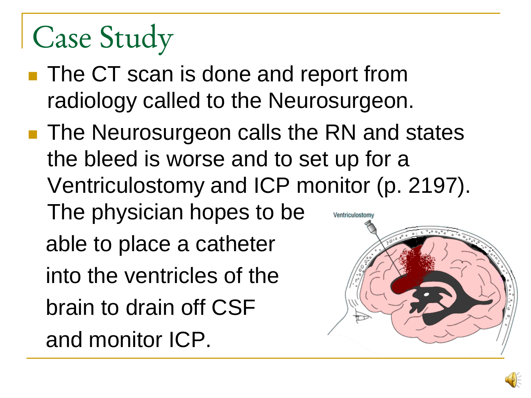- **The CT scan is done and report from** radiology called to the Neurosurgeon.
- The Neurosurgeon calls the RN and states the bleed is worse and to set up for a Ventriculostomy and ICP monitor (p. 2197). The physician hopes to be Ventriculostomy able to place a catheter into the ventricles of the brain to drain off CSF and monitor ICP.

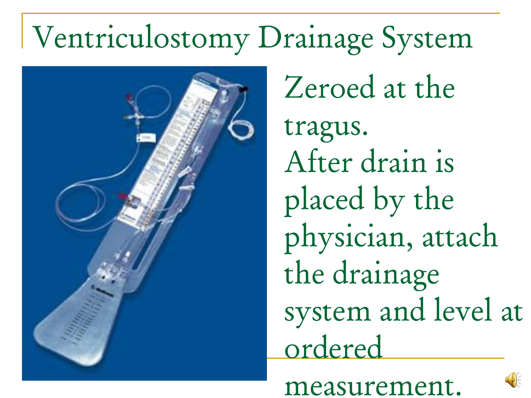#### Ventriculostomy Drainage System



Zeroed at the tragus. After drain is placed by the physician, attach the drainage system and level at ordered

measurement.

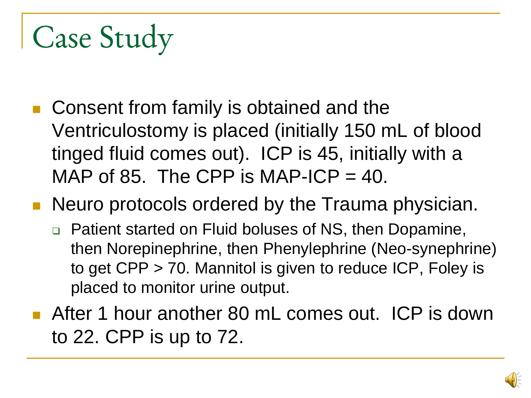■ Consent from family is obtained and the Ventriculostomy is placed (initially 150 mL of blood tinged fluid comes out). ICP is 45, initially with a MAP of 85. The CPP is MAP-ICP  $=$  40.

**Neuro protocols ordered by the Trauma physician.** 

- □ Patient started on Fluid boluses of NS, then Dopamine, then Norepinephrine, then Phenylephrine (Neo-synephrine) to get CPP > 70. Mannitol is given to reduce ICP, Foley is placed to monitor urine output.
- **After 1 hour another 80 mL comes out. ICP is down** to 22. CPP is up to 72.

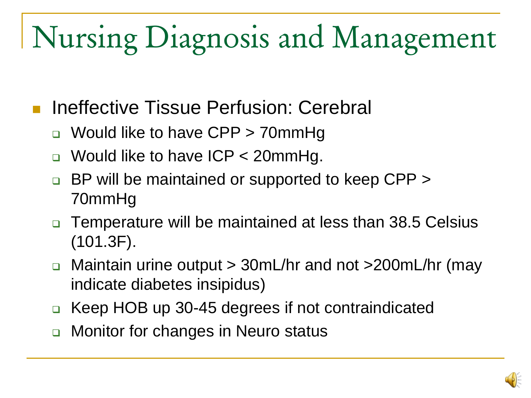# Nursing Diagnosis and Management

- Ineffective Tissue Perfusion: Cerebral
	- □ Would like to have CPP > 70mmHg
	- □ Would like to have ICP < 20mmHg.
	- BP will be maintained or supported to keep CPP > 70mmHg
	- □ Temperature will be maintained at less than 38.5 Celsius (101.3F).
	- Maintain urine output > 30mL/hr and not >200mL/hr (may indicate diabetes insipidus)
	- □ Keep HOB up 30-45 degrees if not contraindicated
	- □ Monitor for changes in Neuro status

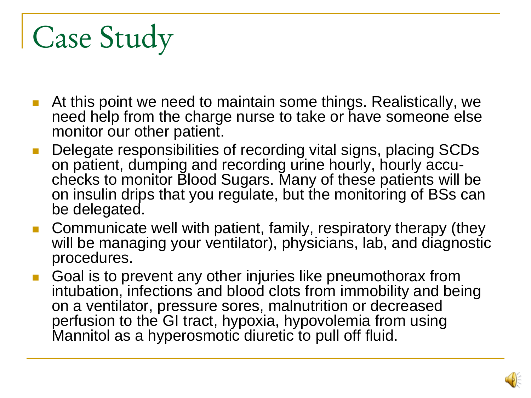- At this point we need to maintain some things. Realistically, we need help from the charge nurse to take or have someone else monitor our other patient.
- Delegate responsibilities of recording vital signs, placing SCDs on patient, dumping and recording urine hourly, hourly accuchecks to monitor Blood Sugars. Many of these patients will be on insulin drips that you regulate, but the monitoring of BSs can be delegated.
- Communicate well with patient, family, respiratory therapy (they will be managing your ventilator), physicians, lab, and diagnostic procedures.
- Goal is to prevent any other injuries like pneumothorax from intubation, infections and blood clots from immobility and being on a ventilator, pressure sores, malnutrition or decreased perfusion to the GI tract, hypoxia, hypovolemia from using Mannitol as a hyperosmotic diuretic to pull off fluid.

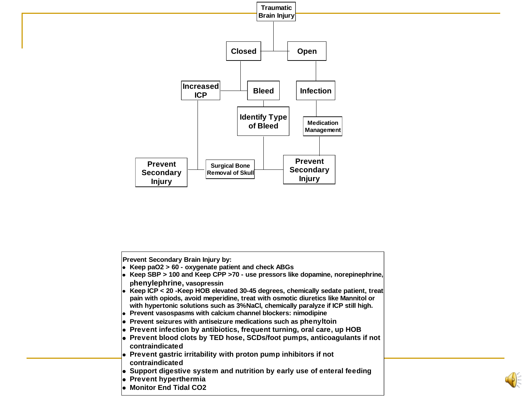



**Monitor End Tidal CO2**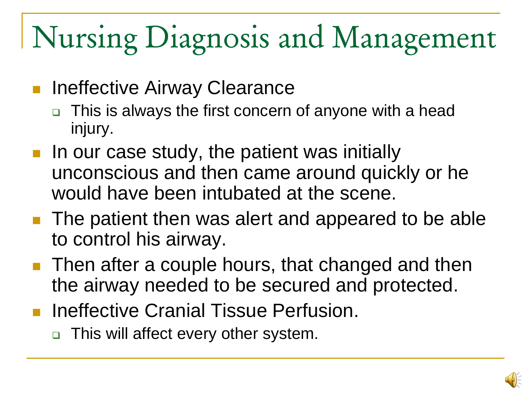# Nursing Diagnosis and Management

- Ineffective Airway Clearance
	- This is always the first concern of anyone with a head injury.
- In our case study, the patient was initially unconscious and then came around quickly or he would have been intubated at the scene.
- **The patient then was alert and appeared to be able** to control his airway.
- Then after a couple hours, that changed and then the airway needed to be secured and protected.
- **Ineffective Cranial Tissue Perfusion.** 
	- □ This will affect every other system.

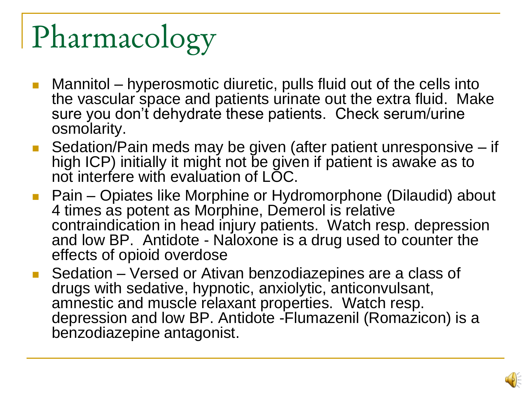# Pharmacology

- Mannitol hyperosmotic diuretic, pulls fluid out of the cells into the vascular space and patients urinate out the extra fluid. Make sure you don't dehydrate these patients. Check serum/urine osmolarity.
- Sedation/Pain meds may be given (after patient unresponsive if high ICP) initially it might not be given if patient is awake as to not interfere with evaluation of LOC.
- Pain Opiates like Morphine or Hydromorphone (Dilaudid) about 4 times as potent as Morphine, Demerol is relative contraindication in head injury patients. Watch resp. depression and low BP. Antidote - Naloxone is a drug used to counter the effects of opioid overdose
- Sedation Versed or Ativan benzodiazepines are a class of drugs with sedative, hypnotic, anxiolytic, anticonvulsant, amnestic and muscle relaxant properties. Watch resp. depression and low BP. Antidote -Flumazenil (Romazicon) is a benzodiazepine antagonist.

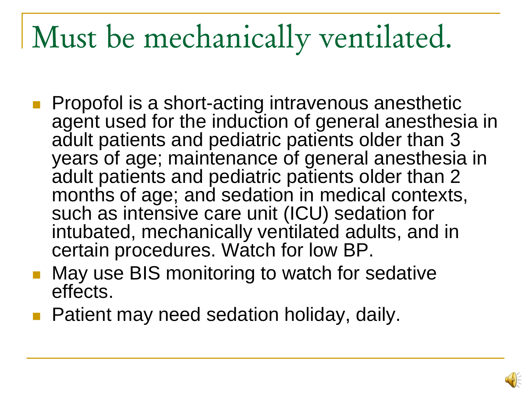### Must be mechanically ventilated.

- **Propofol is a short-acting intravenous anesthetic** agent used for the induction of general anesthesia in adult patients and pediatric patients older than 3 years of age; maintenance of general anesthesia in adult patients and pediatric patients older than 2 months of age; and sedation in medical contexts, such as intensive care unit (ICU) sedation for intubated, mechanically ventilated adults, and in certain procedures. Watch for low BP.
- May use BIS monitoring to watch for sedative effects.
- **Patient may need sedation holiday, daily.**

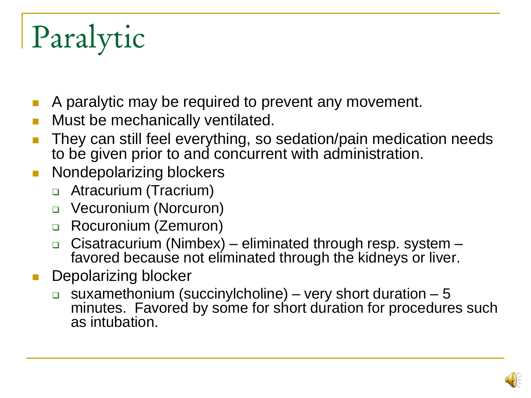# Paralytic

- A paralytic may be required to prevent any movement.
- Must be mechanically ventilated.
- They can still feel everything, so sedation/pain medication needs to be given prior to and concurrent with administration.
- **Nondepolarizing blockers** 
	- **Example 21 Atracurium (Tracrium)**
	- **u** Vecuronium (Norcuron)
	- □ Rocuronium (Zemuron)
	- **Cisatracurium (Nimbex)** eliminated through resp. system favored because not eliminated through the kidneys or liver.
- Depolarizing blocker
	- suxamethonium (succinylcholine) very short duration 5 minutes. Favored by some for short duration for procedures such as intubation.

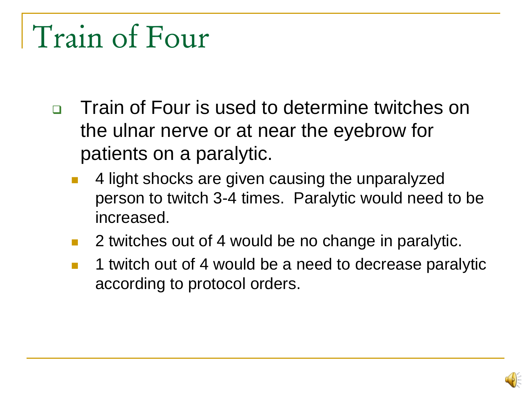#### Train of Four

- □ Train of Four is used to determine twitches on the ulnar nerve or at near the eyebrow for patients on a paralytic.
	- 4 light shocks are given causing the unparalyzed person to twitch 3-4 times. Paralytic would need to be increased.
	- 2 twitches out of 4 would be no change in paralytic.
	- 1 twitch out of 4 would be a need to decrease paralytic according to protocol orders.

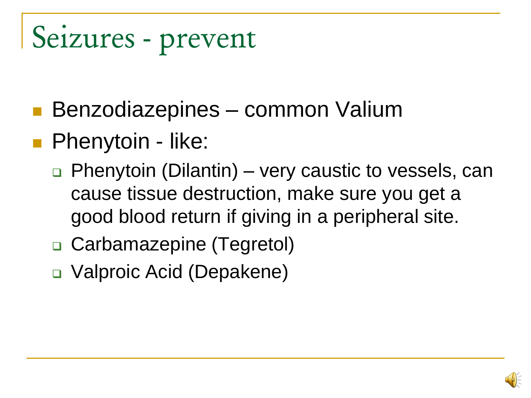#### Seizures - prevent

- Benzodiazepines common Valium
- **Phenytoin like:** 
	- Phenytoin (Dilantin) very caustic to vessels, can cause tissue destruction, make sure you get a good blood return if giving in a peripheral site.
	- □ Carbamazepine (Tegretol)
	- □ Valproic Acid (Depakene)

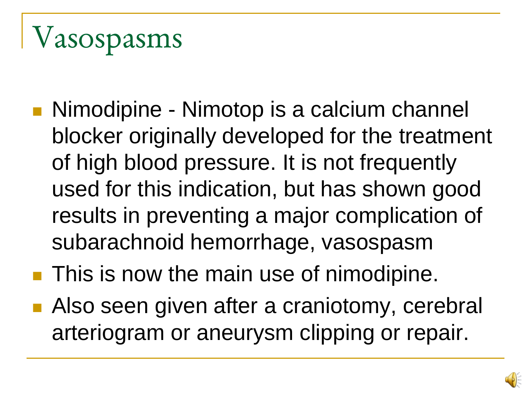## Vasospasms

- Nimodipine Nimotop is a calcium channel blocker originally developed for the treatment of high blood pressure. It is not frequently used for this indication, but has shown good results in preventing a major complication of subarachnoid hemorrhage, vasospasm
- **This is now the main use of nimodipine.**
- Also seen given after a craniotomy, cerebral arteriogram or aneurysm clipping or repair.

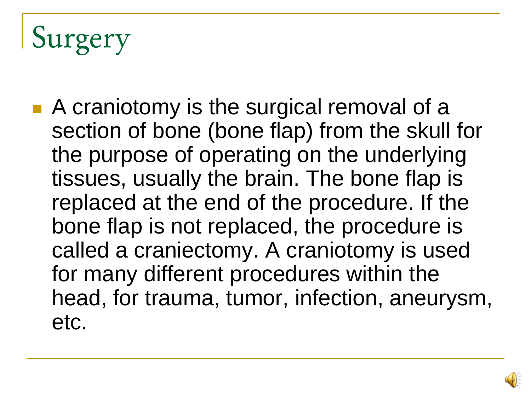## Surgery

■ A craniotomy is the surgical removal of a section of bone (bone flap) from the skull for the purpose of operating on the underlying tissues, usually the brain. The bone flap is replaced at the end of the procedure. If the bone flap is not replaced, the procedure is called a craniectomy. A craniotomy is used for many different procedures within the head, for trauma, tumor, infection, aneurysm, etc.

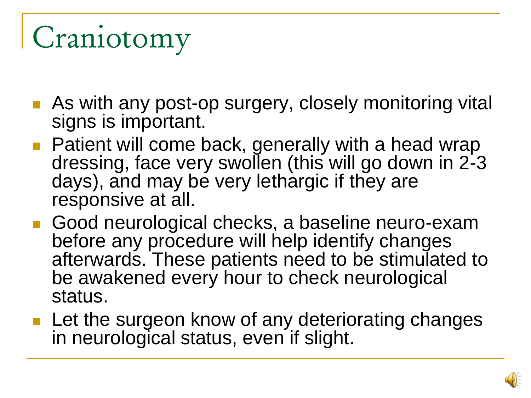## Craniotomy

- **As with any post-op surgery, closely monitoring vital** signs is important.
- **Patient will come back, generally with a head wrap** dressing, face very swollen (this will go down in 2-3 days), and may be very lethargic if they are responsive at all.
- Good neurological checks, a baseline neuro-exam before any procedure will help identify changes afterwards. These patients need to be stimulated to be awakened every hour to check neurological status.
- **Let the surgeon know of any deteriorating changes** in neurological status, even if slight.

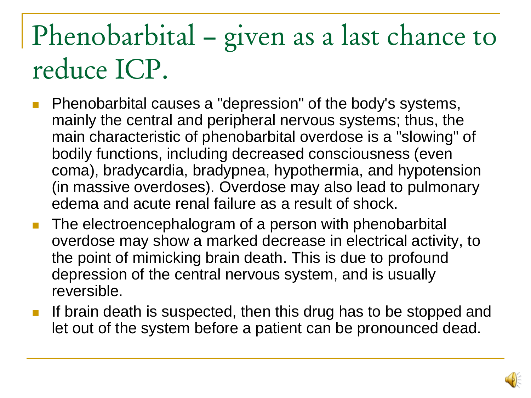#### Phenobarbital – given as a last chance to reduce ICP.

- **Phenobarbital causes a "depression" of the body's systems,** mainly the central and peripheral nervous systems; thus, the main characteristic of phenobarbital overdose is a "slowing" of bodily functions, including decreased consciousness (even coma), bradycardia, bradypnea, hypothermia, and hypotension (in massive overdoses). Overdose may also lead to pulmonary edema and acute renal failure as a result of shock.
- **The electroencephalogram of a person with phenobarbital** overdose may show a marked decrease in electrical activity, to the point of mimicking brain death. This is due to profound depression of the central nervous system, and is usually reversible.
- If brain death is suspected, then this drug has to be stopped and let out of the system before a patient can be pronounced dead.